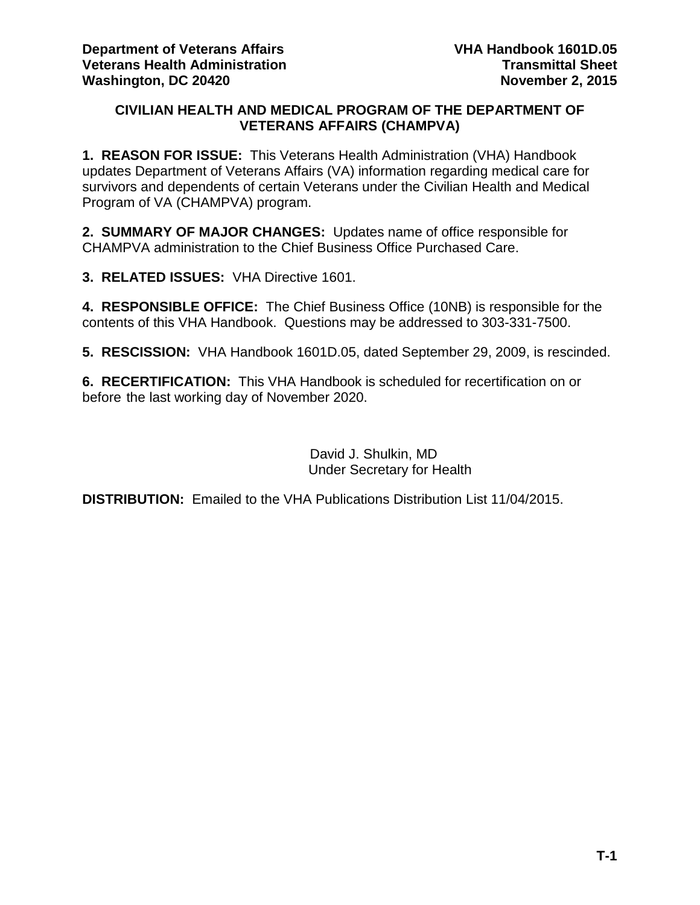### **CIVILIAN HEALTH AND MEDICAL PROGRAM OF THE DEPARTMENT OF VETERANS AFFAIRS (CHAMPVA)**

**1. REASON FOR ISSUE:** This Veterans Health Administration (VHA) Handbook updates Department of Veterans Affairs (VA) information regarding medical care for survivors and dependents of certain Veterans under the Civilian Health and Medical Program of VA (CHAMPVA) program.

**2. SUMMARY OF MAJOR CHANGES:** Updates name of office responsible for CHAMPVA administration to the Chief Business Office Purchased Care.

**3. RELATED ISSUES:** VHA Directive 1601.

**4. RESPONSIBLE OFFICE:** The Chief Business Office (10NB) is responsible for the contents of this VHA Handbook. Questions may be addressed to 303-331-7500.

**5. RESCISSION:** VHA Handbook 1601D.05, dated September 29, 2009, is rescinded.

**6. RECERTIFICATION:** This VHA Handbook is scheduled for recertification on or before the last working day of November 2020.

> David J. Shulkin, MD Under Secretary for Health

**DISTRIBUTION:** Emailed to the VHA Publications Distribution List 11/04/2015.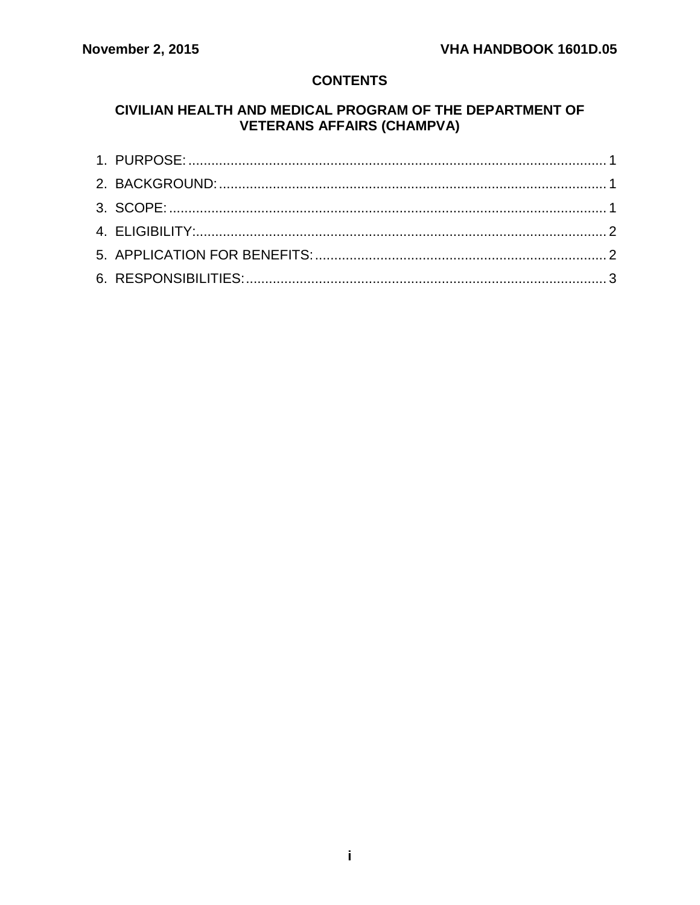### **CONTENTS**

## CIVILIAN HEALTH AND MEDICAL PROGRAM OF THE DEPARTMENT OF **VETERANS AFFAIRS (CHAMPVA)**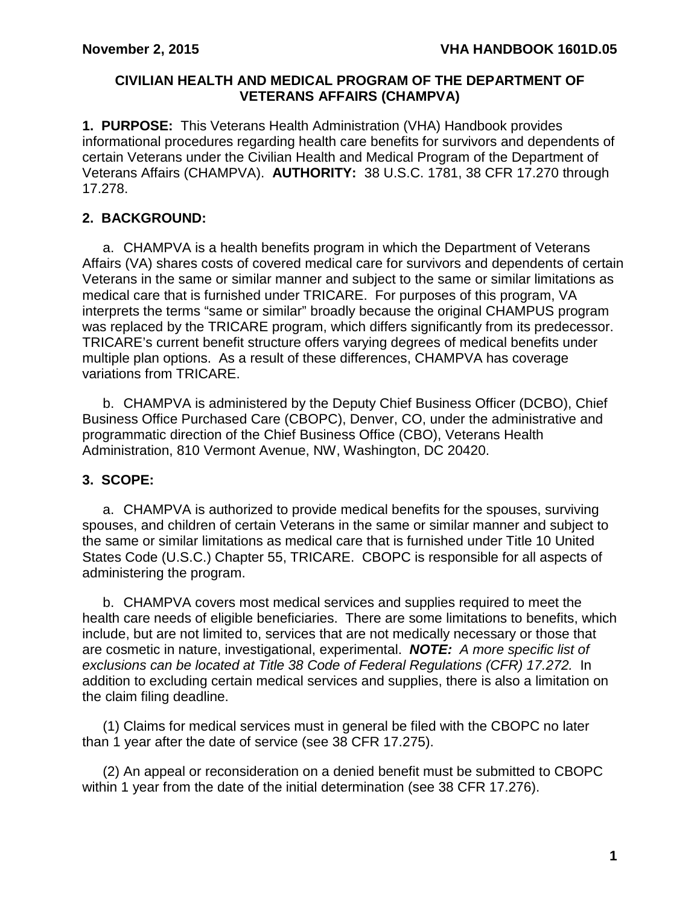### **CIVILIAN HEALTH AND MEDICAL PROGRAM OF THE DEPARTMENT OF VETERANS AFFAIRS (CHAMPVA)**

<span id="page-2-0"></span>**1. PURPOSE:** This Veterans Health Administration (VHA) Handbook provides informational procedures regarding health care benefits for survivors and dependents of certain Veterans under the Civilian Health and Medical Program of the Department of Veterans Affairs (CHAMPVA). **AUTHORITY:** 38 U.S.C. 1781, 38 CFR 17.270 through 17.278.

# <span id="page-2-1"></span>**2. BACKGROUND:**

a. CHAMPVA is a health benefits program in which the Department of Veterans Affairs (VA) shares costs of covered medical care for survivors and dependents of certain Veterans in the same or similar manner and subject to the same or similar limitations as medical care that is furnished under TRICARE. For purposes of this program, VA interprets the terms "same or similar" broadly because the original CHAMPUS program was replaced by the TRICARE program, which differs significantly from its predecessor. TRICARE's current benefit structure offers varying degrees of medical benefits under multiple plan options. As a result of these differences, CHAMPVA has coverage variations from TRICARE.

b. CHAMPVA is administered by the Deputy Chief Business Officer (DCBO), Chief Business Office Purchased Care (CBOPC), Denver, CO, under the administrative and programmatic direction of the Chief Business Office (CBO), Veterans Health Administration, 810 Vermont Avenue, NW, Washington, DC 20420.

# <span id="page-2-2"></span>**3. SCOPE:**

a. CHAMPVA is authorized to provide medical benefits for the spouses, surviving spouses, and children of certain Veterans in the same or similar manner and subject to the same or similar limitations as medical care that is furnished under Title 10 United States Code (U.S.C.) Chapter 55, TRICARE. CBOPC is responsible for all aspects of administering the program.

b. CHAMPVA covers most medical services and supplies required to meet the health care needs of eligible beneficiaries. There are some limitations to benefits, which include, but are not limited to, services that are not medically necessary or those that are cosmetic in nature, investigational, experimental. *NOTE: A more specific list of exclusions can be located at Title 38 Code of Federal Regulations (CFR) 17.272.* In addition to excluding certain medical services and supplies, there is also a limitation on the claim filing deadline.

(1) Claims for medical services must in general be filed with the CBOPC no later than 1 year after the date of service (see 38 CFR 17.275).

(2) An appeal or reconsideration on a denied benefit must be submitted to CBOPC within 1 year from the date of the initial determination (see 38 CFR 17.276).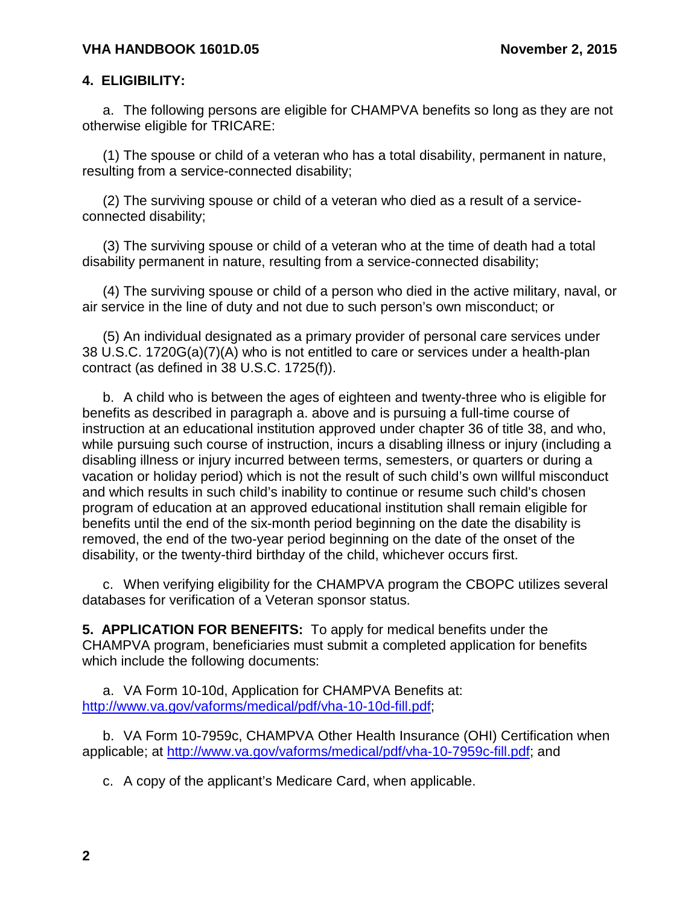#### <span id="page-3-0"></span>**4. ELIGIBILITY:**

a. The following persons are eligible for CHAMPVA benefits so long as they are not otherwise eligible for TRICARE:

(1) The spouse or child of a veteran who has a total disability, permanent in nature, resulting from a service-connected disability;

(2) The surviving spouse or child of a veteran who died as a result of a serviceconnected disability;

(3) The surviving spouse or child of a veteran who at the time of death had a total disability permanent in nature, resulting from a service-connected disability;

(4) The surviving spouse or child of a person who died in the active military, naval, or air service in the line of duty and not due to such person's own misconduct; or

(5) An individual designated as a primary provider of personal care services under 38 U.S.C. 1720G(a)(7)(A) who is not entitled to care or services under a health-plan contract (as defined in 38 U.S.C. 1725(f)).

b. A child who is between the ages of eighteen and twenty-three who is eligible for benefits as described in paragraph a. above and is pursuing a full-time course of instruction at an educational institution approved under chapter 36 of title 38, and who, while pursuing such course of instruction, incurs a disabling illness or injury (including a disabling illness or injury incurred between terms, semesters, or quarters or during a vacation or holiday period) which is not the result of such child's own willful misconduct and which results in such child's inability to continue or resume such child's chosen program of education at an approved educational institution shall remain eligible for benefits until the end of the six-month period beginning on the date the disability is removed, the end of the two-year period beginning on the date of the onset of the disability, or the twenty-third birthday of the child, whichever occurs first.

c. When verifying eligibility for the CHAMPVA program the CBOPC utilizes several databases for verification of a Veteran sponsor status.

<span id="page-3-1"></span>**5. APPLICATION FOR BENEFITS:** To apply for medical benefits under the CHAMPVA program, beneficiaries must submit a completed application for benefits which include the following documents:

a. VA Form 10-10d, Application for CHAMPVA Benefits at: [http://www.va.gov/vaforms/medical/pdf/vha-10-10d-fill.pdf;](http://www.va.gov/vaforms/medical/pdf/vha-10-10d-fill.pdf)

b. VA Form 10-7959c, CHAMPVA Other Health Insurance (OHI) Certification when applicable; at [http://www.va.gov/vaforms/medical/pdf/vha-10-7959c-fill.pdf;](http://www.va.gov/vaforms/medical/pdf/vha-10-7959c-fill.pdf) and

c. A copy of the applicant's Medicare Card, when applicable.